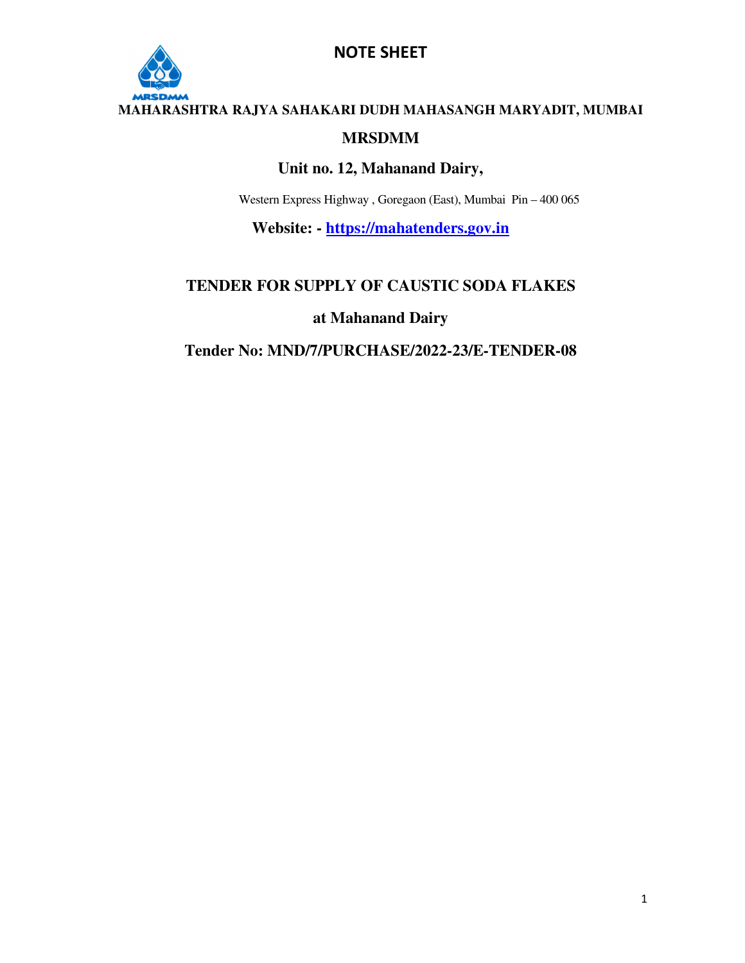

#### **MAHARASHTRA RAJYA SAHAKARI DUDH MAHASANGH MARYADIT, MUMBAI**

#### **MRSDMM**

#### **Unit no. 12, Mahanand Dairy,**

Western Express Highway , Goregaon (East), Mumbai Pin – 400 065

**Website: - https://mahatenders.gov.in**

#### **TENDER FOR SUPPLY OF CAUSTIC SODA FLAKES**

#### **at Mahanand Dairy**

#### **Tender No: MND/7/PURCHASE/2022-23/E-TENDER-08**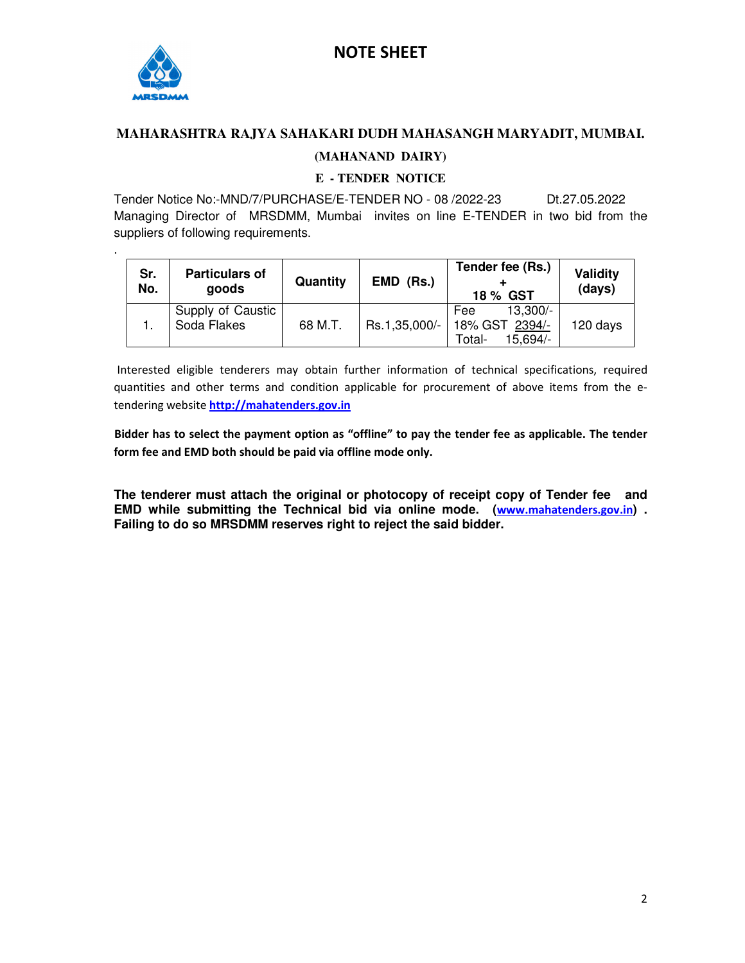

.

#### **MAHARASHTRA RAJYA SAHAKARI DUDH MAHASANGH MARYADIT, MUMBAI.**

#### **(MAHANAND DAIRY)**

#### **E - TENDER NOTICE**

Tender Notice No:-MND/7/PURCHASE/E-TENDER NO - 08 /2022-23 Dt.27.05.2022 Managing Director of MRSDMM, Mumbai invites on line E-TENDER in two bid from the suppliers of following requirements.

| Sr.<br>No. | <b>Particulars of</b><br>goods   | Quantity | EMD (Rs.)     | Tender fee (Rs.)<br>18 % GST                              | Validity<br>(days) |
|------------|----------------------------------|----------|---------------|-----------------------------------------------------------|--------------------|
|            | Supply of Caustic<br>Soda Flakes | 68 M.T.  | Rs.1,35,000/- | 13,300/-<br>Fee<br>18% GST 2394/-<br>$15.694/-$<br>Total- | 120 days           |

 Interested eligible tenderers may obtain further information of technical specifications, required quantities and other terms and condition applicable for procurement of above items from the etendering website **http://mahatenders.gov.in**

 **Bidder has to select the payment option as "offline" to pay the tender fee as applicable. The tender form fee and EMD both should be paid via offline mode only.** 

**The tenderer must attach the original or photocopy of receipt copy of Tender fee and EMD while submitting the Technical bid via online mode. (www.mahatenders.gov.in) . Failing to do so MRSDMM reserves right to reject the said bidder.**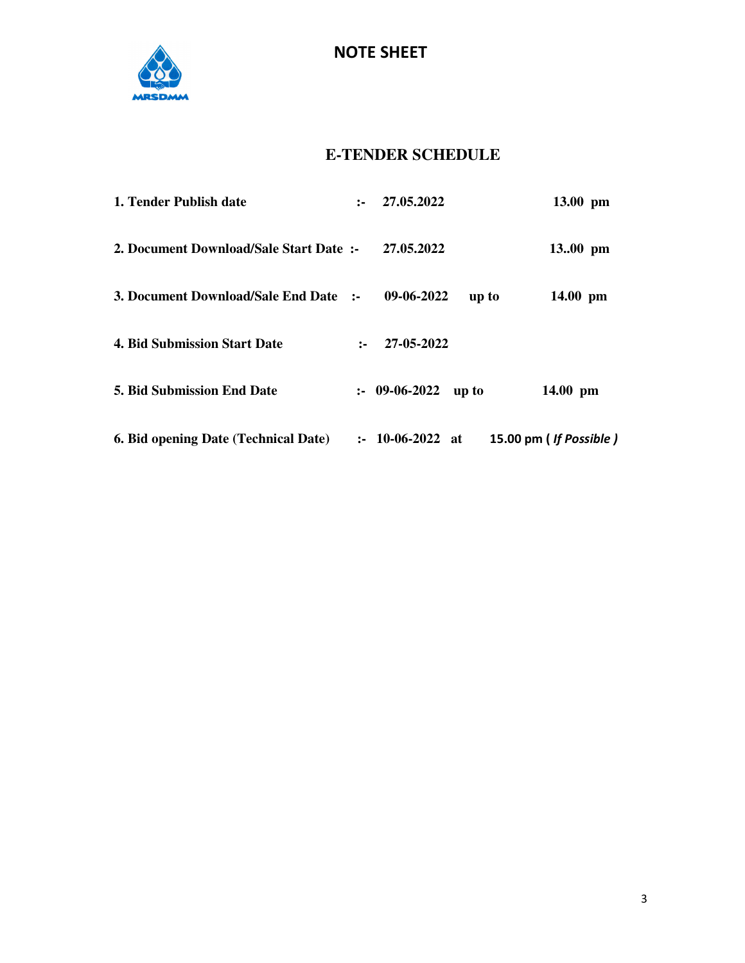

### **E-TENDER SCHEDULE**

| 1. Tender Publish date                      | $2 - 1$ | 27.05.2022                 |       | 13.00 pm               |
|---------------------------------------------|---------|----------------------------|-------|------------------------|
| 2. Document Download/Sale Start Date:       |         | 27.05.2022                 |       | $13.00 \text{ pm}$     |
| 3. Document Download/Sale End Date :-       |         | 09-06-2022                 | up to | $14.00$ pm             |
| <b>4. Bid Submission Start Date</b>         | $2 - 1$ | 27-05-2022                 |       |                        |
| <b>5. Bid Submission End Date</b>           |         | $: 09-06-2022$             | up to | $14.00 \text{ pm}$     |
| <b>6. Bid opening Date (Technical Date)</b> |         | $\therefore$ 10-06-2022 at |       | 15.00 pm (If Possible) |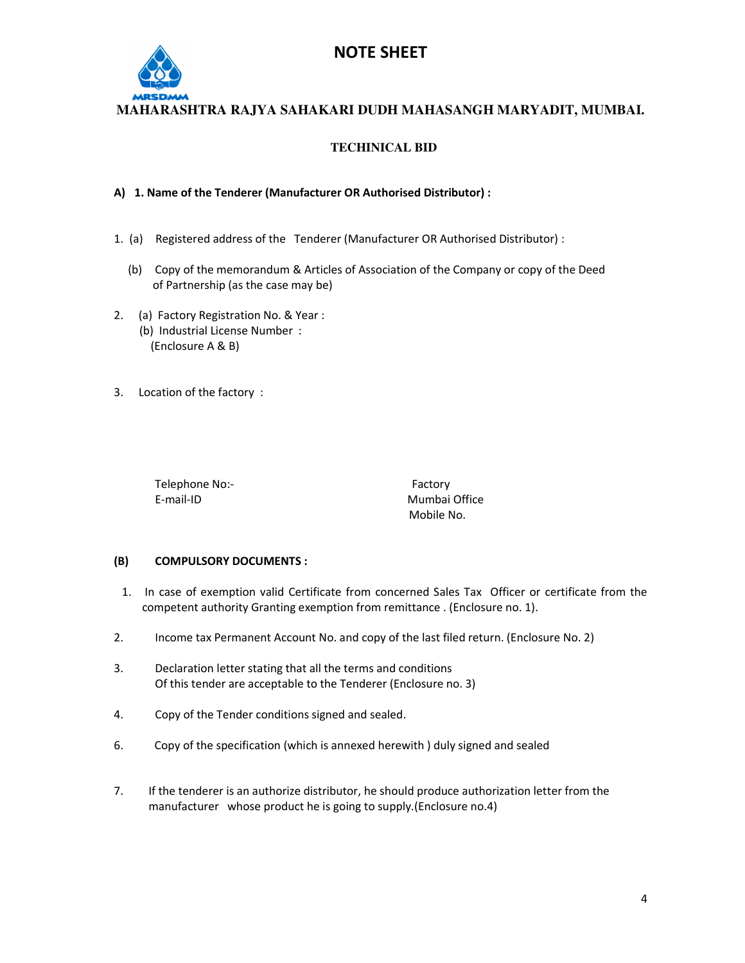

**MAHARASHTRA RAJYA SAHAKARI DUDH MAHASANGH MARYADIT, MUMBAI.** 

#### **TECHINICAL BID**

#### **A) 1. Name of the Tenderer (Manufacturer OR Authorised Distributor) :**

- 1. (a) Registered address of the Tenderer (Manufacturer OR Authorised Distributor) :
	- (b) Copy of the memorandum & Articles of Association of the Company or copy of the Deed of Partnership (as the case may be)
- 2. (a) Factory Registration No. & Year :
	- (b) Industrial License Number : (Enclosure A & B)
- 3. Location of the factory :

Telephone No:- Factory E-mail-ID Mumbai Office

Mobile No.

#### **(B) COMPULSORY DOCUMENTS :**

- 1. In case of exemption valid Certificate from concerned Sales Tax Officer or certificate from the competent authority Granting exemption from remittance . (Enclosure no. 1).
- 2. Income tax Permanent Account No. and copy of the last filed return. (Enclosure No. 2)
- 3. Declaration letter stating that all the terms and conditions Of this tender are acceptable to the Tenderer (Enclosure no. 3)
- 4. Copy of the Tender conditions signed and sealed.
- 6. Copy of the specification (which is annexed herewith ) duly signed and sealed
- 7. If the tenderer is an authorize distributor, he should produce authorization letter from the manufacturer whose product he is going to supply.(Enclosure no.4)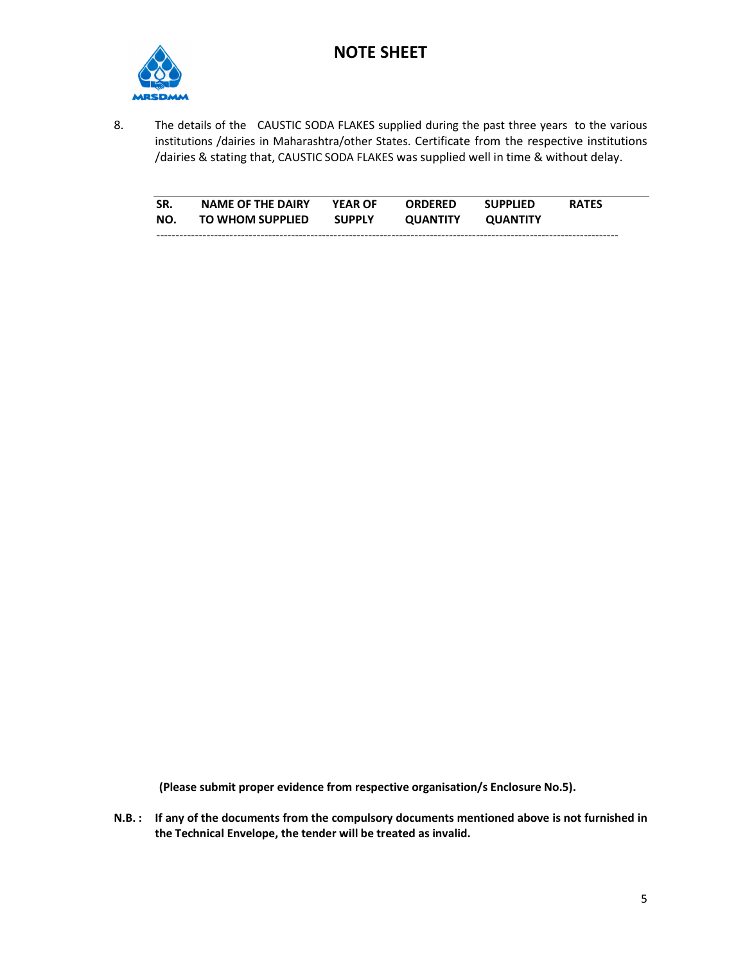

8. The details of the CAUSTIC SODA FLAKES supplied during the past three years to the various institutions /dairies in Maharashtra/other States. Certificate from the respective institutions /dairies & stating that, CAUSTIC SODA FLAKES was supplied well in time & without delay.

| SR. | <b>NAME OF THE DAIRY</b> | <b>YEAR OF</b> | <b>ORDERED</b>  | <b>SUPPLIED</b> | <b>RATES</b> |
|-----|--------------------------|----------------|-----------------|-----------------|--------------|
| NO. | <b>TO WHOM SUPPLIED</b>  | <b>SUPPLY</b>  | <b>OUANTITY</b> | <b>OUANTITY</b> |              |
|     |                          |                |                 |                 |              |

 **(Please submit proper evidence from respective organisation/s Enclosure No.5).** 

**N.B. : If any of the documents from the compulsory documents mentioned above is not furnished in the Technical Envelope, the tender will be treated as invalid.**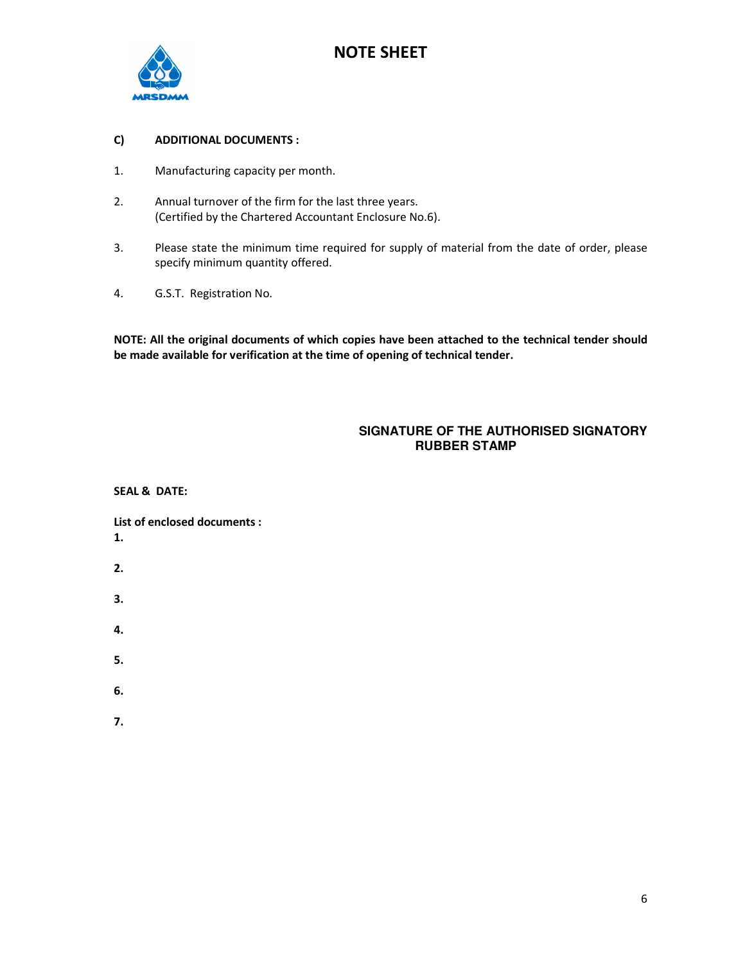

#### **C) ADDITIONAL DOCUMENTS :**

- 1. Manufacturing capacity per month.
- 2. Annual turnover of the firm for the last three years. (Certified by the Chartered Accountant Enclosure No.6).
- 3. Please state the minimum time required for supply of material from the date of order, please specify minimum quantity offered.
- 4. G.S.T. Registration No.

**NOTE: All the original documents of which copies have been attached to the technical tender should be made available for verification at the time of opening of technical tender.** 

#### **SIGNATURE OF THE AUTHORISED SIGNATORY RUBBER STAMP**

**SEAL & DATE:** 

**List of enclosed documents : 1.** 

- **2.**
- 
- **3.**
- **4.**

- **5.**
- **6.**
- 
- **7.**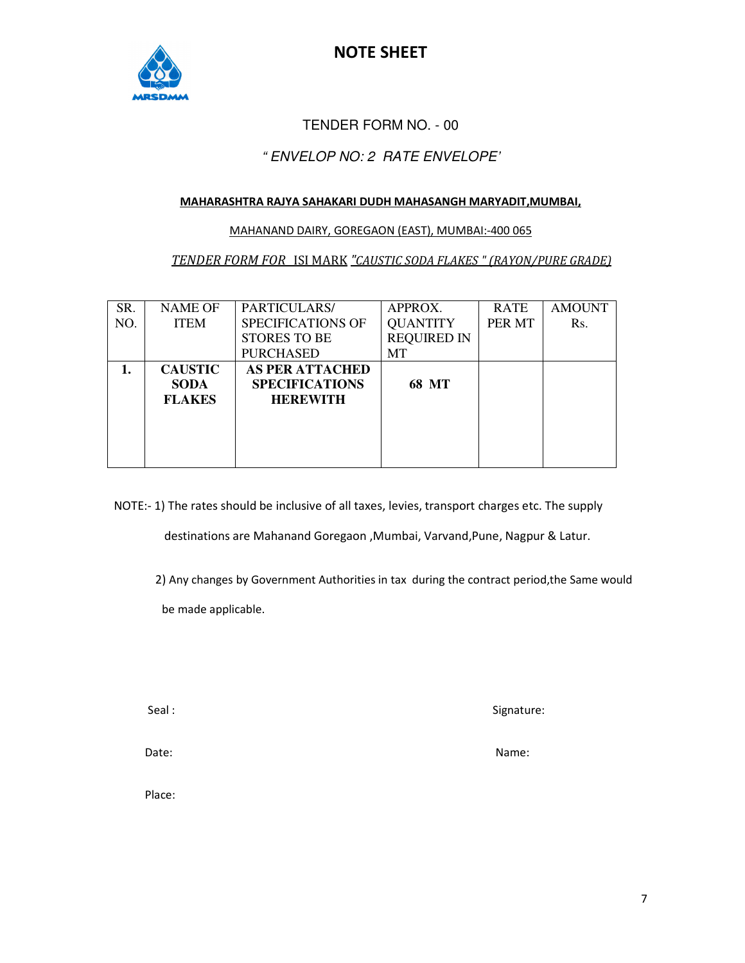

#### TENDER FORM NO. - 00

#### " ENVELOP NO: 2 RATE ENVELOPE'

#### **MAHARASHTRA RAJYA SAHAKARI DUDH MAHASANGH MARYADIT,MUMBAI,**

#### MAHANAND DAIRY, GOREGAON (EAST), MUMBAI:-400 065

#### *TENDER FORM FOR* ISI MARK *"CAUSTIC SODA FLAKES " (RAYON/PURE GRADE)*

| SR. | <b>NAME OF</b> | PARTICULARS/             | APPROX.            | <b>RATE</b> | <b>AMOUNT</b> |
|-----|----------------|--------------------------|--------------------|-------------|---------------|
| NO. | <b>ITEM</b>    | <b>SPECIFICATIONS OF</b> | <b>QUANTITY</b>    | PER MT      | Rs.           |
|     |                | <b>STORES TO BE</b>      | <b>REQUIRED IN</b> |             |               |
|     |                | <b>PURCHASED</b>         | MT                 |             |               |
|     | <b>CAUSTIC</b> | <b>AS PER ATTACHED</b>   |                    |             |               |
|     | <b>SODA</b>    | <b>SPECIFICATIONS</b>    | 68 MT              |             |               |
|     | <b>FLAKES</b>  | <b>HEREWITH</b>          |                    |             |               |
|     |                |                          |                    |             |               |
|     |                |                          |                    |             |               |
|     |                |                          |                    |             |               |
|     |                |                          |                    |             |               |

NOTE:- 1) The rates should be inclusive of all taxes, levies, transport charges etc. The supply

destinations are Mahanand Goregaon ,Mumbai, Varvand,Pune, Nagpur & Latur.

2) Any changes by Government Authorities in tax during the contract period,the Same would

be made applicable.

Seal : Seal : Signature: Signature: Signature: Signature: Signature: Signature: Signature: Signature: Signature: Signature: Signature: Signature: Signature: Signature: Signature: Signature: Signature: Signature: Signature:

Date: Name: Name: Name: Name: Name: Name: Name: Name: Name: Name: Name: Name: Name: Name: Name: Name: Name: Name: Name: Name: Name: Name: Name: Name: Name: Name: Name: Name: Name: Name: Name: Name: Name: Name: Name: Name:

Place: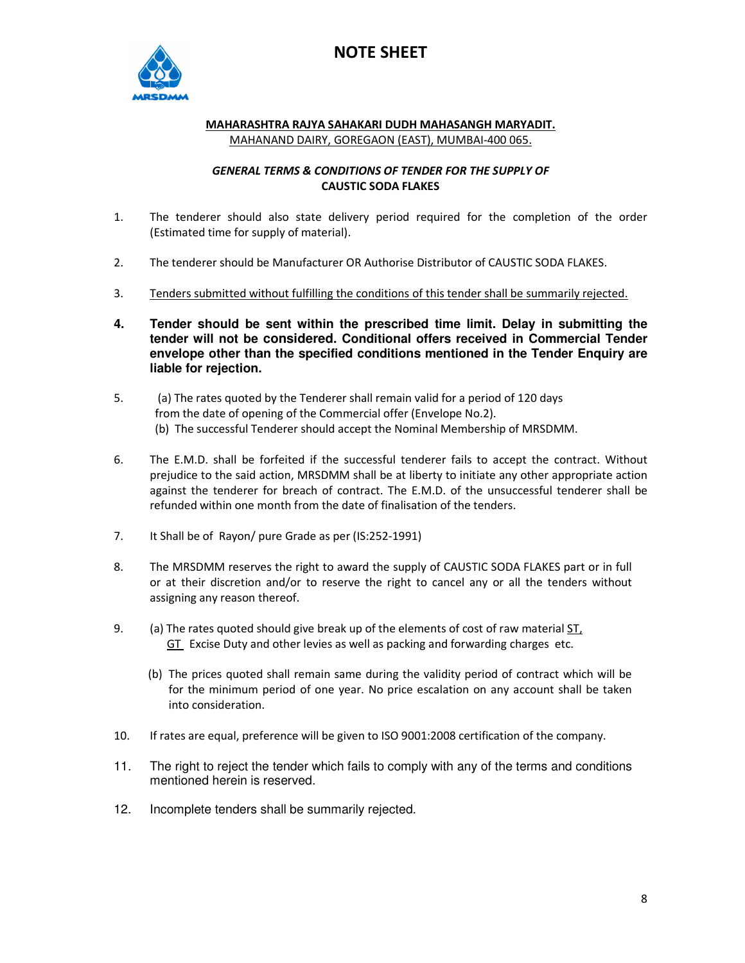

#### **MAHARASHTRA RAJYA SAHAKARI DUDH MAHASANGH MARYADIT.** MAHANAND DAIRY, GOREGAON (EAST), MUMBAI-400 065.

#### *GENERAL TERMS & CONDITIONS OF TENDER FOR THE SUPPLY OF*  **CAUSTIC SODA FLAKES**

- 1. The tenderer should also state delivery period required for the completion of the order (Estimated time for supply of material).
- 2. The tenderer should be Manufacturer OR Authorise Distributor of CAUSTIC SODA FLAKES.
- 3. Tenders submitted without fulfilling the conditions of this tender shall be summarily rejected.
- **4. Tender should be sent within the prescribed time limit. Delay in submitting the tender will not be considered. Conditional offers received in Commercial Tender envelope other than the specified conditions mentioned in the Tender Enquiry are liable for rejection.**
- 5. (a) The rates quoted by the Tenderer shall remain valid for a period of 120 days from the date of opening of the Commercial offer (Envelope No.2). (b) The successful Tenderer should accept the Nominal Membership of MRSDMM.
- 6. The E.M.D. shall be forfeited if the successful tenderer fails to accept the contract. Without prejudice to the said action, MRSDMM shall be at liberty to initiate any other appropriate action against the tenderer for breach of contract. The E.M.D. of the unsuccessful tenderer shall be refunded within one month from the date of finalisation of the tenders.
- 7. It Shall be of Rayon/ pure Grade as per (IS:252-1991)
- 8. The MRSDMM reserves the right to award the supply of CAUSTIC SODA FLAKES part or in full or at their discretion and/or to reserve the right to cancel any or all the tenders without assigning any reason thereof.
- 9. (a) The rates quoted should give break up of the elements of cost of raw material ST, GT Excise Duty and other levies as well as packing and forwarding charges etc.
	- (b) The prices quoted shall remain same during the validity period of contract which will be for the minimum period of one year. No price escalation on any account shall be taken into consideration.
- 10. If rates are equal, preference will be given to ISO 9001:2008 certification of the company.
- 11. The right to reject the tender which fails to comply with any of the terms and conditions mentioned herein is reserved.
- 12. Incomplete tenders shall be summarily rejected.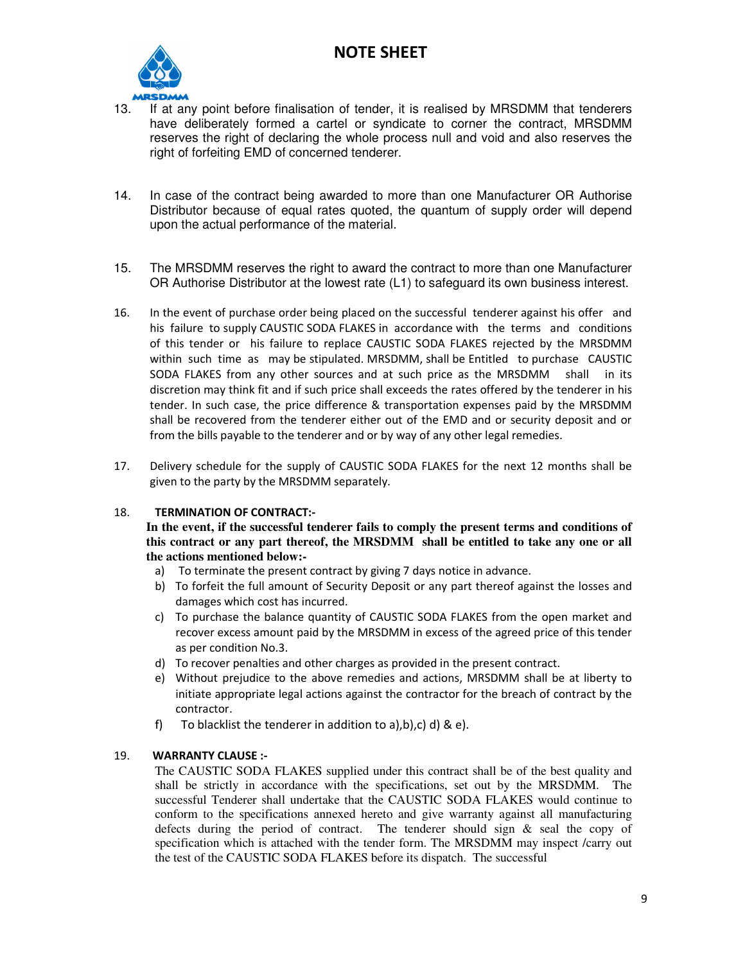

- 13. If at any point before finalisation of tender, it is realised by MRSDMM that tenderers have deliberately formed a cartel or syndicate to corner the contract, MRSDMM reserves the right of declaring the whole process null and void and also reserves the right of forfeiting EMD of concerned tenderer.
- 14. In case of the contract being awarded to more than one Manufacturer OR Authorise Distributor because of equal rates quoted, the quantum of supply order will depend upon the actual performance of the material.
- 15. The MRSDMM reserves the right to award the contract to more than one Manufacturer OR Authorise Distributor at the lowest rate (L1) to safeguard its own business interest.
- 16. In the event of purchase order being placed on the successful tenderer against his offer and his failure to supply CAUSTIC SODA FLAKES in accordance with the terms and conditions of this tender or his failure to replace CAUSTIC SODA FLAKES rejected by the MRSDMM within such time as may be stipulated. MRSDMM, shall be Entitled to purchase CAUSTIC SODA FLAKES from any other sources and at such price as the MRSDMM shall in its discretion may think fit and if such price shall exceeds the rates offered by the tenderer in his tender. In such case, the price difference & transportation expenses paid by the MRSDMM shall be recovered from the tenderer either out of the EMD and or security deposit and or from the bills payable to the tenderer and or by way of any other legal remedies.
- 17. Delivery schedule for the supply of CAUSTIC SODA FLAKES for the next 12 months shall be given to the party by the MRSDMM separately.

#### 18. **TERMINATION OF CONTRACT:-**

**In the event, if the successful tenderer fails to comply the present terms and conditions of this contract or any part thereof, the MRSDMM shall be entitled to take any one or all the actions mentioned below:-** 

- a) To terminate the present contract by giving 7 days notice in advance.
- b) To forfeit the full amount of Security Deposit or any part thereof against the losses and damages which cost has incurred.
- c) To purchase the balance quantity of CAUSTIC SODA FLAKES from the open market and recover excess amount paid by the MRSDMM in excess of the agreed price of this tender as per condition No.3.
- d) To recover penalties and other charges as provided in the present contract.
- e) Without prejudice to the above remedies and actions, MRSDMM shall be at liberty to initiate appropriate legal actions against the contractor for the breach of contract by the contractor.
- f) To blacklist the tenderer in addition to a), b), c) d) & e).

#### 19. **WARRANTY CLAUSE :-**

The CAUSTIC SODA FLAKES supplied under this contract shall be of the best quality and shall be strictly in accordance with the specifications, set out by the MRSDMM. The successful Tenderer shall undertake that the CAUSTIC SODA FLAKES would continue to conform to the specifications annexed hereto and give warranty against all manufacturing defects during the period of contract. The tenderer should sign & seal the copy of specification which is attached with the tender form. The MRSDMM may inspect /carry out the test of the CAUSTIC SODA FLAKES before its dispatch. The successful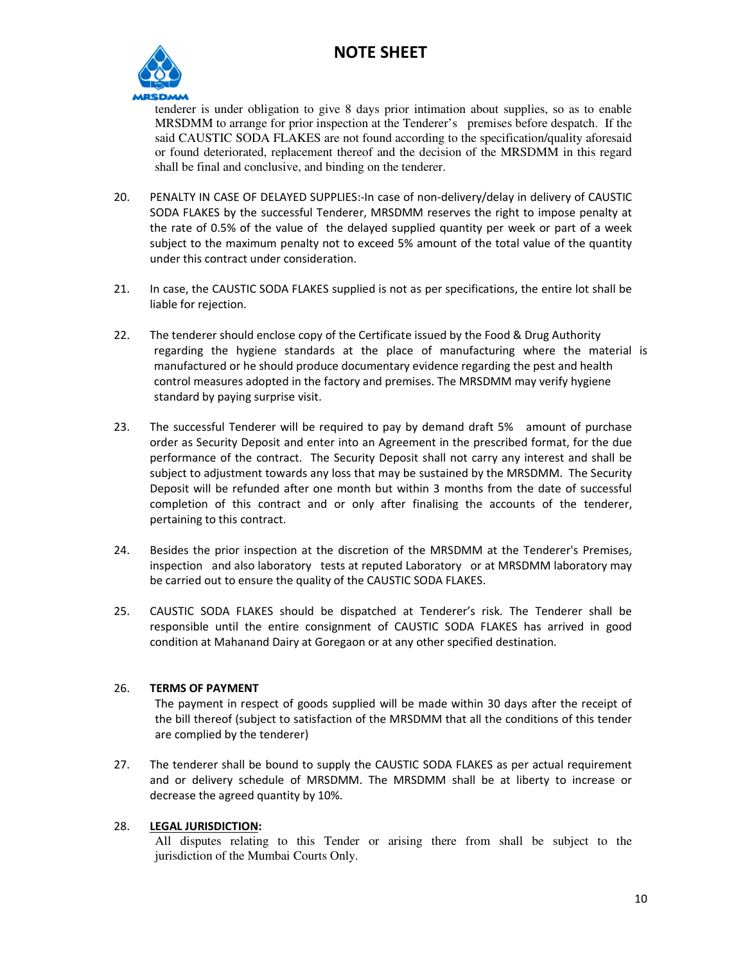

tenderer is under obligation to give 8 days prior intimation about supplies, so as to enable MRSDMM to arrange for prior inspection at the Tenderer's premises before despatch. If the said CAUSTIC SODA FLAKES are not found according to the specification/quality aforesaid or found deteriorated, replacement thereof and the decision of the MRSDMM in this regard shall be final and conclusive, and binding on the tenderer.

- 20. PENALTY IN CASE OF DELAYED SUPPLIES:-In case of non-delivery/delay in delivery of CAUSTIC SODA FLAKES by the successful Tenderer, MRSDMM reserves the right to impose penalty at the rate of 0.5% of the value of the delayed supplied quantity per week or part of a week subject to the maximum penalty not to exceed 5% amount of the total value of the quantity under this contract under consideration.
- 21. In case, the CAUSTIC SODA FLAKES supplied is not as per specifications, the entire lot shall be liable for rejection.
- 22. The tenderer should enclose copy of the Certificate issued by the Food & Drug Authority regarding the hygiene standards at the place of manufacturing where the material is manufactured or he should produce documentary evidence regarding the pest and health control measures adopted in the factory and premises. The MRSDMM may verify hygiene standard by paying surprise visit.
- 23. The successful Tenderer will be required to pay by demand draft 5% amount of purchase order as Security Deposit and enter into an Agreement in the prescribed format, for the due performance of the contract. The Security Deposit shall not carry any interest and shall be subject to adjustment towards any loss that may be sustained by the MRSDMM. The Security Deposit will be refunded after one month but within 3 months from the date of successful completion of this contract and or only after finalising the accounts of the tenderer, pertaining to this contract.
- 24. Besides the prior inspection at the discretion of the MRSDMM at the Tenderer's Premises, inspection and also laboratory tests at reputed Laboratory or at MRSDMM laboratory may be carried out to ensure the quality of the CAUSTIC SODA FLAKES.
- 25. CAUSTIC SODA FLAKES should be dispatched at Tenderer's risk. The Tenderer shall be responsible until the entire consignment of CAUSTIC SODA FLAKES has arrived in good condition at Mahanand Dairy at Goregaon or at any other specified destination.

#### 26. **TERMS OF PAYMENT**

The payment in respect of goods supplied will be made within 30 days after the receipt of the bill thereof (subject to satisfaction of the MRSDMM that all the conditions of this tender are complied by the tenderer)

27. The tenderer shall be bound to supply the CAUSTIC SODA FLAKES as per actual requirement and or delivery schedule of MRSDMM. The MRSDMM shall be at liberty to increase or decrease the agreed quantity by 10%.

#### 28. **LEGAL JURISDICTION:**

All disputes relating to this Tender or arising there from shall be subject to the jurisdiction of the Mumbai Courts Only.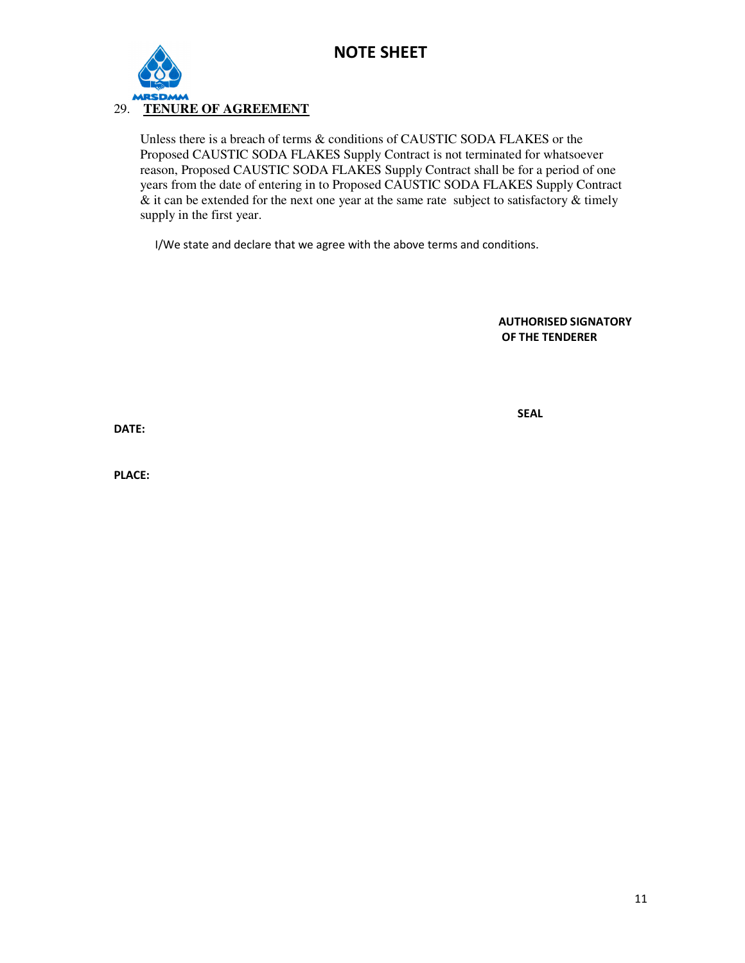

#### 29. **TENURE OF AGREEMENT**

 Unless there is a breach of terms & conditions of CAUSTIC SODA FLAKES or the Proposed CAUSTIC SODA FLAKES Supply Contract is not terminated for whatsoever reason, Proposed CAUSTIC SODA FLAKES Supply Contract shall be for a period of one years from the date of entering in to Proposed CAUSTIC SODA FLAKES Supply Contract  $\&$  it can be extended for the next one year at the same rate subject to satisfactory  $\&$  timely supply in the first year.

I/We state and declare that we agree with the above terms and conditions.

**AUTHORISED SIGNATORY OF THE TENDERER** 

**SEAL** 

**DATE:** 

**PLACE:**